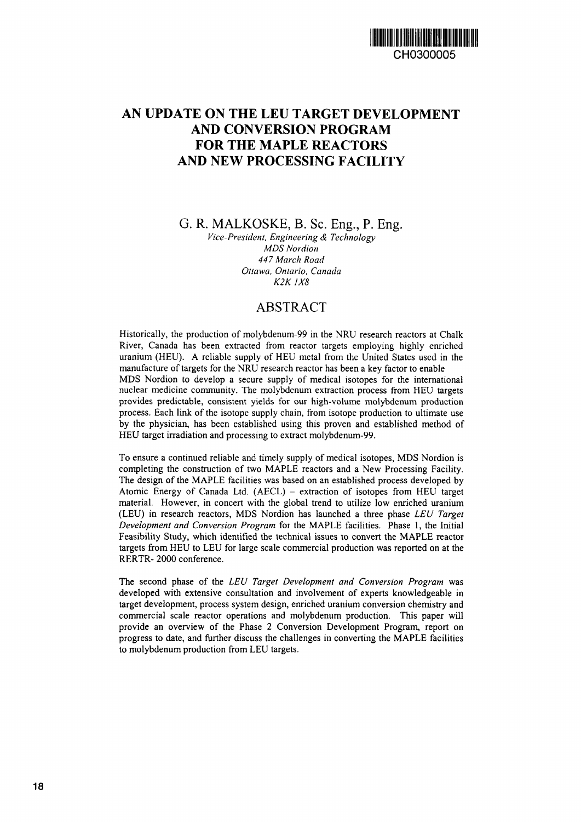

# **AN UPDATE ON THE LEU TARGET DEVELOPMENT AND CONVERSION PROGRAM FOR THE MAPLE REACTORS AND NEW PROCESSING FACILITY**

G. R. MALKOSKE, B. Sc. Eng., P. Eng.

*Vice-President, Engineering & Technology MDS Nordion 447 March Road Ottawa, Ontario, Canada K2K X8*

## ABSTRACT

Historically, the production of molybdenurn-99 in the NRU research reactors at Chalk River, Canada has been extracted from reactor targets employing highly enriched uranium (HEU). A reliable supply of HEU metal from the United States used in the manufacture of targets for the NRU research reactor has been a key factor to enable MDS Nordion to develop a secure supply of medical isotopes for the international nuclear medicine community. The molybdenum extraction process from HEU targets provides predictable, consistent yields for our high-volume molybdenum production process. Each link of the isotope supply chain, from isotope production to ultimate use by the physician, has been established using this proven and established method of HEU target irradiation and processing to extract molybdenum-99.

To ensure a continued reliable and timely supply of medical isotopes, MDS Nordion is completing the construction of two MAPLE reactors and a New Processing Facility, The design of the MAPLE facilities was based on an established process developed by Atomic Energy of Canada Ltd. (AECL) - extraction of isotopes from HEU target material. However, in concert with the global trend to utilize low enriched uranium (LEU) in research reactors, MDS Nordion has launched a three phase *LEU Target Development and Conversion Program* for the MAPLE facilities. Phase 1, the Initial Feasibility Study, which identified the technical issues to convert the MAPLE reactor targets from HEU to LEU for large scale commercial production was reported on at the RERTR- 2000 conference.

The second phase of the *LEU Target Development and Conversion Program* was developed with extensive consultation and involvement of experts knowledgeable in target development, process system design, enriched uranium conversion chemistry and commercial scale reactor operations and molybdenum production. This paper will provide an overview of the Phase 2 Conversion Development Program, report on progress to date, and further discuss the challenges in converting the MAPLE facilities to molybdenum production from LEU targets.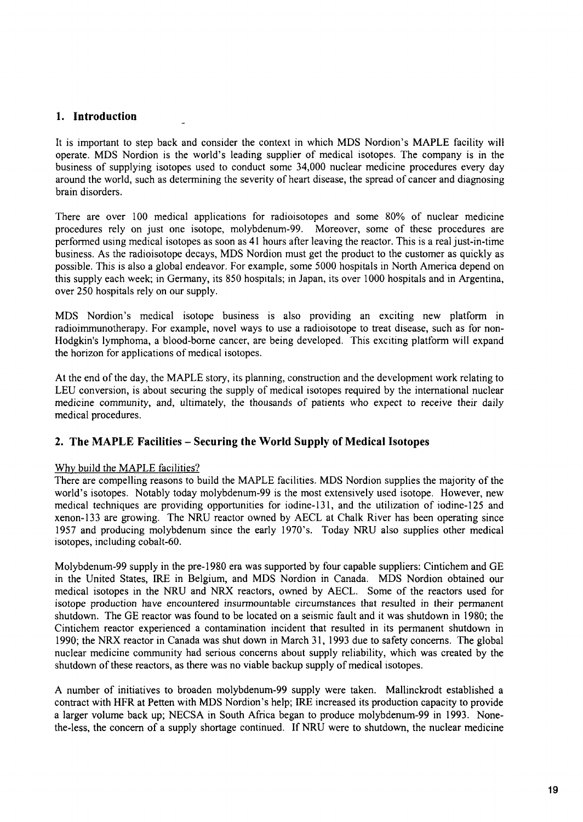### 1. **Introduction**

It is important to step back and consider the context in which MDS Nordion's MAPLE facility will operate. MDS Nordion is the world's leading supplier of medical isotopes. The company is in the business of supplying isotopes used to conduct some 34,000 nuclear medicine procedures every day around the world, such as determining the severity of heart disease, the spread of cancer and diagnosing brain disorders.

There are over 100 medical applications for radioisotopes and some 80% of nuclear medicine procedures rely on 'ust one isotope, molybdenum-99. Moreover, some of these procedures are performed using medical isotopes as soon as 41 hours after leaving the reactor. This is a real just-in-time business. As the radioisotope decays, MDS Nordion must get the product to the customer as quickly as possible. This is also a global endeavor. For example, some 5000 hospitals in North America depend on this supply each week; in Germany, its 850 hospitals; in Japan, its over 1000 hospitals and in Argentina, over 250 hospitals rely on our supply.

MDS Nordion's medical isotope business is also providing an exciting new platform in radioimmunotherapy. For example, novel ways to use a radioisotope to treat disease, such as for non-Hodgkin's lymphoma, a blood-borne cancer, are being developed. This exciting platform will expand the horizon for applications of medical isotopes.

At the end of the day, the MAPLE story, its planning, construction and the development work relating to LEU conversion, is about securing the supply of medical isotopes required by the international nuclear medicine community, and, ultimately, the thousands of patients who expect to receive their daily medical procedures.

## **2. The MAPLE Facilities - Securing the World Supply of Medical Isotopes**

#### Why build the MAPLE facilities?

There are compelling reasons to build the MAPLE facilities. MDS Nordion supplies the majority of the world's isotopes. Notably today molybdenum-99 is the most extensively used isotope. However, new medical techniques are providing opportunities for iodine-131, and the utilization of iodine-125 and xenon-133 are growing. The NRU reactor owned by AECL at Chalk River has been operating since 1957 and producing molybdenum since the early 1970's. Today NRU also supplies other medical isotopes, including cobalt-60.

Molybdenum-99 supply in the pre-1980 era was supported by four capable suppliers: Cintichem and GE in the United States, IRE in Belgium, and MDS Nordion in Canada. MDS Nordion obtained our medical isotopes in the NRU and NRX reactors, owned by AECL. Some of the reactors used for isotope production have encountered insurmountable circumstances that resulted in their permanent shutdown. The GE reactor was found to be located on a seismic fault and it was shutdown in 1980; the Cintichem reactor experienced a contamination incident that resulted **in** its permanent shutdown in 1990; the NRX reactor in Canada was shut down in March 31, 1993 due to safety concerns. The global nuclear medicine community had serious concerns about supply reliability, which was created by the shutdown of these reactors, as there was no viable backup supply of medical isotopes.

A number of' initiatives to broaden molybdenum-99 supply were taken. Mallinckrodt established a contract with HFR at Petten with MDS Nordion's help; IR.E increased its production capacity to provide a larger volume back up; NECSA in South Africa began to produce molybdenum-99 in 1993. Nonethe-less, the concern of a supply shortage continued. If NRU were to shutdown, the nuclear medicine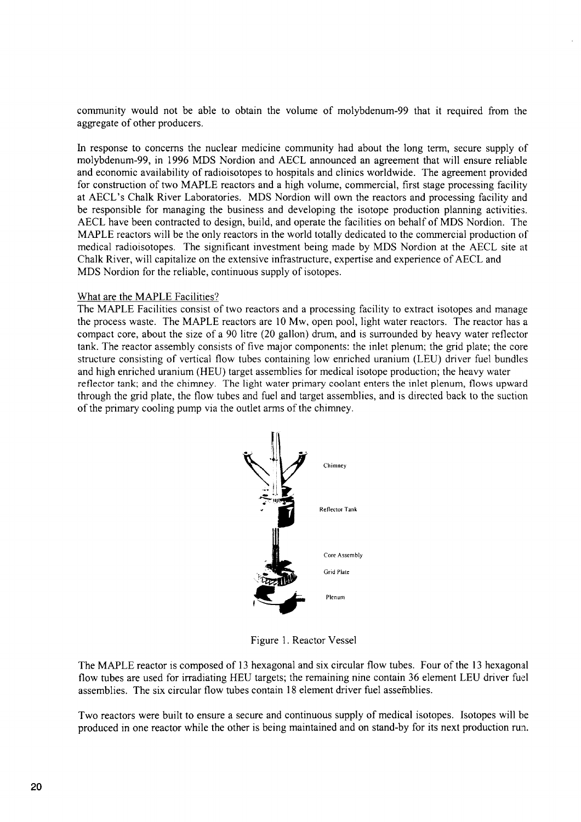community would not be able to obtain the volume of molybdenum-99 that it required from the aggregate of other producers.

In response to concerns the nuclear medicine community had about the long term, secure supply of molybdenum-99, in 1996 MDS Nordion and AECL announced an agreement that will ensure reliable and economic availability of radioisotopes to hospitals and clinics worldwide. The agreement provided for construction of two MAPLE reactors and a high volume, commercial, first stage processing facility at AECL's Chalk River Laboratories. MDS Nordion will own the reactors and processing facility and be responsible for managing the business and developing the isotope production planning activities. AECL have been contracted to design, build, and operate the facilities on behalf of MDS Nordion. The MAPLE reactors will be the only reactors in the world totally dedicated to the commercial production of medical radioisotopes. The significant investment being made by MDS Nordion at the AECL site at Chalk River, will capitalize on the extensive infrastructure, expertise and experience of AECL and MDS Nordion for the reliable, continuous supply of isotopes.

#### What are the MAPLE Facilities?

The MAPLE Facilities consist of two reactors and a processing facility to extract isotopes and manage the process waste. The MAPLE reactors are 10 Mw, open pool, light water reactors. The reactor has a compact core, about the size of a 90 litre 20 gallon) drum, and is surrounded by heavy water reflector tank. The reactor assembly consists of five major components: the inlet plenum; the grid plate; the core structure consisting of vertical flow tubes containing low enriched uranium (LEU) driver fuel bundles and high enriched uranium (HEU) target assemblies for medical isotope production; the heavy water reflector tank; and the chimney. The light water primary coolant enters the inlet plenum, flows upward through the grid plate, the flow tubes and fuel and target assemblies, and is directed back to the suction of the primary cooling pump via the outlet arms of the chimney.



Figure 1. Reactor Vessel

The MAPLE reactor is composed of 13 hexagonal and six circular flow tubes. Four of the 13 hexagonal flow tubes are used for irradiating HEU targets; the remaining nine contain 36 element LEU driver fuel assemblies. The six circular flow tubes contain 18 element driver fuel assemblies.

Two reactors were built to ensure a secure and continuous supply of medical isotopes. Isotopes will be produced **in** one reactor while the other is being maintained and on stand-by for its next production run.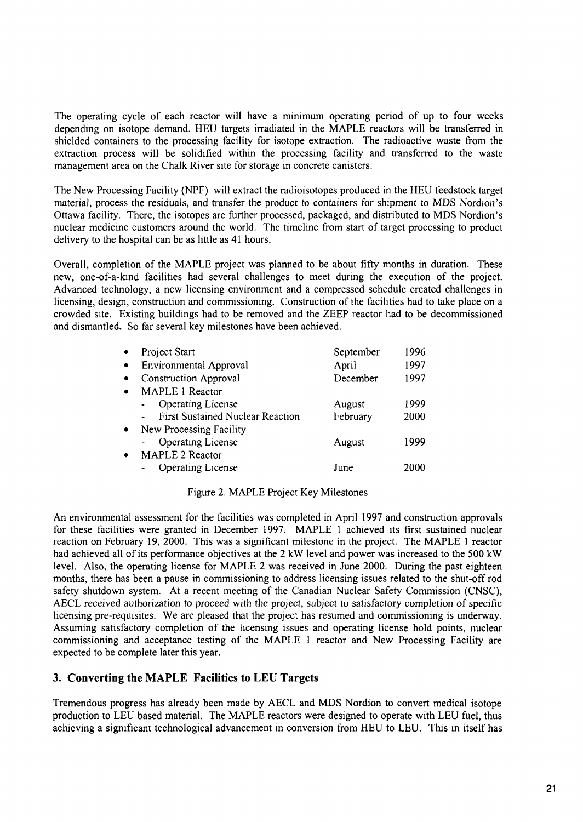The operating cycle of each reactor will have a minimum operating period of up to four weeks depending on isotope demand. HEU targets irradiated in the MAPLE reactors will be transferred **in** shielded containers to the processing facility for isotope extraction. The radioactive waste from the extraction process will be solidified within the processing facility and transferred to the waste management area on the Chalk River site for storage **in** concrete canisters.

The New Processing Facility (NPF) will extract the radioisotopes produced **in** the HEU feedstock target material, process the residuals, and transfer the product to containers for shipment to MDS Nordion's Ottawa facility. There, the isotopes are further processed, packaged, and distributed to MDS Nordion's nuclear medicine customers around the world. The timeline from start of target processing to product delivery to the hospital can be as little as 41 hours.

Overall, completion of the MAPLE project was planned to be about fifty months in duration. These new, one-of-a-kind facilities had several challenges to meet during the execution of the project. Advanced technology, a new licensing environment and a compressed schedule created challenges **in** licensing, design, construction and commissioning. Construction of the facilities had to take place on a crowded site. Existing buildings had to be removed and the ZEEP reactor had to be decommissioned and dismantled. So far several key milestones have been achieved.

| $\bullet$ | Project Start                                        | September | 1996 |
|-----------|------------------------------------------------------|-----------|------|
| $\bullet$ | <b>Environmental Approval</b>                        | April     | 1997 |
| $\bullet$ | <b>Construction Approval</b>                         | December  | 1997 |
| $\bullet$ | <b>MAPLE 1 Reactor</b>                               |           |      |
|           | <b>Operating License</b><br>$\overline{\phantom{a}}$ | August    | 1999 |
|           | First Sustained Nuclear Reaction                     | February  | 2000 |
| $\bullet$ | New Processing Facility                              |           |      |
|           | <b>Operating License</b>                             | August    | 1999 |
| $\bullet$ | <b>MAPLE 2 Reactor</b>                               |           |      |
|           | <b>Operating License</b>                             | June      | 2000 |

Figure 2 MAPLE Project Key Milestones

An environmental assessment for the facilities was completed in April 1997 and construction approvals for these facilities were granted in December 1997. MAPLE I achieved its first sustained nuclear reaction on February 19, 2000. This was a significant milestone in the project. The MAPLE I reactor had achieved all of its performance objectives at the  $2 \text{ kW}$  level and power was increased to the  $500 \text{ kW}$ level. Also, the operating license for MAPLE 2 was received in June 2000. During the past eighteen months, there has been a pause in commissioning to address licensing issues related to the shut-off rod safety shutdown system. At a recent meeting of the Canadian Nuclear Safety Commission (CNSC), AECL received authorization to proceed with the project, subject to satisfactory completion of specific licensing pre-requisites. We are pleased that the project has resumed and commissioning is underway. Assuming satisfactory completion of the licensing issues and operating license hold points, nuclear commissioning and acceptance testing of the MAPLE I reactor and New Processing Facility are expected to be complete later this year.

## **3. Converting the MAPLE Facilities to LEU Targets**

Tremendous progress has already been made by AECL and MDS Nordion to convert medical isotope production to LEU based material. The MAPLE reactors were designed to operate with LEU fuel, thus achieving a significant technological advancement in conversion fom HEU to LEU. This in itself has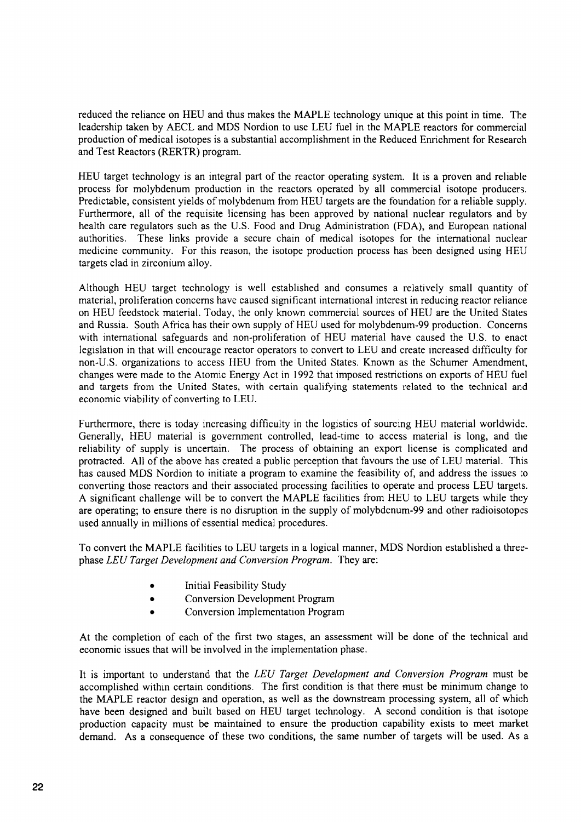reduced the reliance on HEU and thus makes the MAPLE technology unique at this point in time. The leadership taken by AECL and MDS Nordion to use LEU fuel in the MAPLE reactors for commercial production of medical isotopes is a substantial accomplishment in the Reduced Enrichment for Research and Test Reactors (RERTR) program.

HEU target technology is an integral part of the reactor operating system. It **is** a proven and reliable process for molybdenum production in the reactors operated by all commercial isotope producers. Predictable, consistent yields of molybdenum from HEU targets are the foundation for a reliable supply. Furthermore, all of the requisite licensing has been approved by national nuclear regulators and by health care regulators such as the U.S. Food and Drug Administration (FDA), and European national authorities. These links provide a secure chain of medical isotopes for the nternational nuclear medicine community. For this reason, the isotope production process has been designed using HEU targets clad in zirconium alloy.

Although HEU target technology is well established and consumes a relatively small quantity of material, proliferation concerns have caused significant international interest in reducing reactor reliance on HEU feedstock material. Today, the only known commercial sources of HEU are the United States and Russia. South Africa has their own supply of HEU used for molybdenum-99 production. Concerns with international safeguards and non-proliferation of HEU material have caused the U.S. to enact legislation in that will encourage reactor operators to convert to LEU and create increased difficulty for non-U.S. organizations to access HEU from the United States. Known as the Schumer Amendment, changes were made to the Atomic Energy Act in 1992 that imposed restrictions on exports of HEU fuel and targets from the United States, with certain qualifying statements related to the technical and economic vability of converting to LEU.

Furthermore, there is today increasing difficulty in the logistics of sourcing HEU material worldwide. Generally, HEU material is government controlled, lead-time to access material is long, and the reliability of supply is uncertain. The process of obtaining an export license is complicated and protracted. All of the above has created a public perception that favours the use of LEU material. This has caused MDS Nordion to initiate a program to examine the feasibility of, and address the issues to converting those reactors and their associated processing facilities to operate and process LEU targets. A significant challenge will be to convert the MAPLE facilities from HEU to LEU targets while they are operating; to ensure there is no disruption in the supply of molybdenum-99 and other radioisotopes used annually in millions of essential medical procedures.

To convert the MAPLE facilities to LEU targets in a logical manner, MDS Nordion established a threephase *LEU Target Development and Conversion Program.* They are:

- Initial Feasibility Study
- Conversion Development Program  $\bullet$
- Conversion Implementation Program

At the completion of each of the first two stages, an assessment will be done of the technical and economic issues that will be involved in the implementation phase.

It is important to understand that the *LEU Target Development and Conversion Program* must be accomplished within certain conditions. The first condition is that there fnust be minimum change to the MAPLE reactor design and operation, as well as the downstream processing system, all of which have been designed and built based on HEU target technology. A second condition is that isotope production capacity must be maintained to ensure the production capability exists to meet market demand. As a consequence of these two conditions, the same number of targets will be used. As a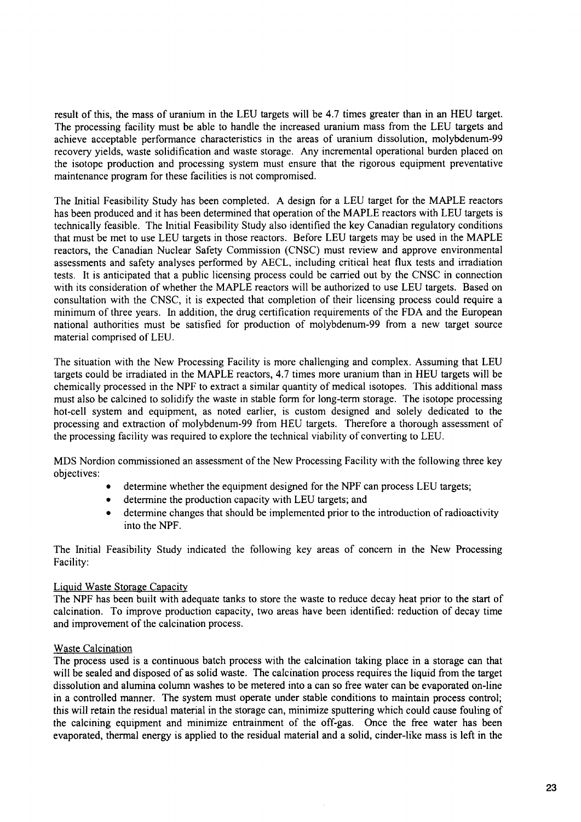result of this, the mass of uranium in the LEU targets will be 47 times greater than in an HEU target. The processing facility must be able to handle the increased uranium mass from the LEU targets and achieve acceptable performance characteristics in the areas of uranium dissolution, molybdenum-99 recovery yields, waste solidification and waste storage. Any incremental operational burden placed on the isotope production and processing system must ensure that the rigorous equipment preventative maintenance program for these facilities is not compromised.

The Initial Feasibility Study has been completed. A design for a LEU target for the MAPLE reactors has been produced and it has been determined that operation of the MAPLE reactors with LEU targets is technically feasible. The Initial Feasibility Study also identified the key Canadian regulatory conditions that must be met to use LEU targets in those reactors. Before LEU targets may be used in the MAPLE reactors, the Canadian Nuclear Safety Commission (CNSC) must review and approve environmental assessments and safety analyses performed by AECL, including critical heat flux tests and irradiation tests. It is anticipated that a public licensing process could be carried out by the CNSC in connection with its consideration of whether the MAPLE reactors will be authorized to use LEU targets. Based on consultation with the CNSC, it is expected that completion of their licensing process could require a minimum of three years. In addition, the drug certification requirements of the FDA and the European national authorities must be satisfied for production of molybdenum-99 from a new target source material comprised of LEU.

The situation with the New Processing Facility is more challenging and complex. Assuming that LEU targets could be irradiated in the MAPLE reactors, 47 times more uranium than in HEU targets will be chemically processed in the NPF to extract a similar quantity of medical isotopes. This additional mass must also be calcined to solidify the waste in stable form for long-term storage. The isotope processing hot-cell system and equipment, as noted earlier, is custom designed and solely dedicated to the processing and extraction of molybdenum-99 from HEU targets. Therefore a thorough assessment of the processing facility was required to explore the technical viability of converting to LEU.

MDS Nordion commissioned an assessment of the New Processing Facility with the following three key objectives:

- determine whether the equipment designed for the NPF can process LEU targets;
- determine the production capacity with LEU targets; and  $\bullet$
- determine changes that should be implemented prior to the introduction of radioactivity into the NPF.

The Initial Feasibility Study indicated the following key areas of concern in the New Processing Facility:

#### Liquid Waste Storage Capacity

The NPF has been built with adequate tanks to store the waste to reduce decay heat prior to the start of calcination. To improve production capacity, two areas have been identified: reduction of decay time and improvement of the calcination process.

#### **Waste Calcination**

The process used is a continuous batch process with the calcination taking place **in** a storage can that will be sealed and disposed of as solid waste. The calcination process requires the liquid from the target dissolution and alumina column washes to be metered into a can so free water can be evaporated on-line in a controlled manner. The system must operate under stable conditions to maintain process control; this will retain the residual material in the storage can, minimize sputtering which could cause fouling of the calcining equipment and minimize entrainment of the off-gas. Once the free water has been evaporated, thermal energy is applied to the residual material and a solid, cinder-like mass is left in the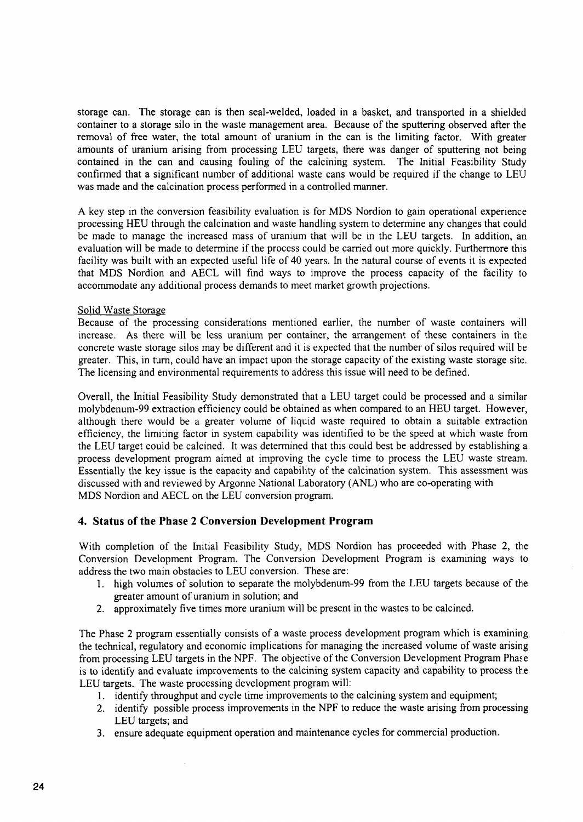storage can. The storage can is then seal-welded, loaded in a basket, and transported in a shielded container to a storage silo in the waste management area. Because of the sputtering observed after the removal of free water, the total amount of uranium in the can is the limiting factor. With greater amounts of uranium arising from processing LEU targets, there was danger of sputtering not being contained in the can and causing fouling of the calcining system. The Initial Feasibility Study confirmed that a significant number of additional waste cans would be required if the change to LEU was made and the calcination process performed in a controlled manner.

A key step in the conversion feasibility evaluation is for MDS Nordion to gain operational experience processing HEU through the calcination and waste handling system to determine any changes that could be made to manage the increased mass of uranium that will be in the LEU targets. In addition, an evaluation will be made to determine if the process could be carried out more quickly. Furthermore this facility was built with an expected useful life of 40 years. In the natural course of events it is expected that MDS Nordion and AECL will find ways to improve the process capacity of the facility accommodate any additional process demands to meet market growth projections.

#### Solid Waste Storage

Because of the processing considerations mentioned earlier, the number of waste containers will increase. As there will be less uranium per container, the arrangement of these containers in the concrete waste storage silos may be different and it is expected that the number of silos required will be greater. This, in turn, could have an impact upon the storage capacity of the existing waste storage site. The licensing and environmental requirements to address this issue will need to be defined.

Overall, the Initial Feasibility Study demonstrated that a LEU target could be processed and a similar molybdenum-99 extraction efficiency could be obtained as when compared to an HEU target. However, although there would be a greater volume of liquid waste required to obtain a suitable extraction efficiency, the limiting factor **in** system capability was identified to be the speed at which waste frorn the LEU target could be calcined. It was determined that this could best be addressed by establishing a process development program aimed at improving the cycle time to process the LEU waste stream. Essentially the key issue is the capacity and capability of the calcination system. This assessment was discussed with and reviewed by Argonne National Laboratory (ANL) who are co-operating with MDS Nordion and AECL on the LEU conversion program.

## **4. Status of the Phase 2 Conversion Development Program**

With completion of the Initial Feasibility Study, MDS Nordion has proceeded with Phase 2, the Conversion Development Program. The Conversion Development Program is examining ways to address the two main obstacles to LEU conversion. These are:

- 1. high volumes of solution to separate the molybdenum-99 from the LEU targets because of the greater amount of uranium in solution; and
- 2. approximately five times more uranium will be present in the wastes to be calcined.

The Phase 2 program essentially consists of a waste process development program which is examining the technical, regulatory and economic implications for managing the increased volume of waste arising from processing LEU targets in the NPF. The objective of the Conversion Development Program Phase is to identify and evaluate improvements to the calcining system capacity and capability to process the LEU targets. The waste processing development program will:

- 1. identify throughput and cycle time improvements to the calcining system and equipment;
- 2. identify possible process improvements in the NPF to reduce the waste arising from processing LEU targets; and
- 3. ensure adequate equipment operation and maintenance cycles for commercial production.